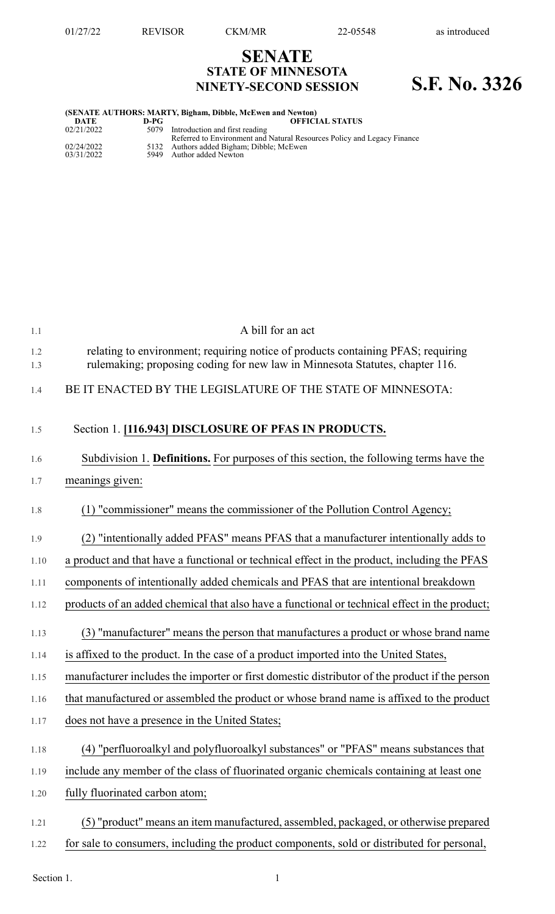## **SENATE STATE OF MINNESOTA NINETY-SECOND SESSION S.F. No. 3326**

## **(SENATE AUTHORS: MARTY, Bigham, Dibble, McEwen and Newton)**

| D-PG<br>DATE       | <b>OFFICIAL STATUS</b>                                                  |
|--------------------|-------------------------------------------------------------------------|
| 02/21/2022<br>5079 | Introduction and first reading                                          |
|                    | Referred to Environment and Natural Resources Policy and Legacy Finance |
| 02/24/2022         | 5132 Authors added Bigham; Dibble; McEwen                               |
| 03/31/2022         | 5949 Author added Newton                                                |

| 1.1        | A bill for an act                                                                                                                                                |
|------------|------------------------------------------------------------------------------------------------------------------------------------------------------------------|
| 1.2<br>1.3 | relating to environment; requiring notice of products containing PFAS; requiring<br>rulemaking; proposing coding for new law in Minnesota Statutes, chapter 116. |
| 1.4        | BE IT ENACTED BY THE LEGISLATURE OF THE STATE OF MINNESOTA:                                                                                                      |
| 1.5        | Section 1. [116.943] DISCLOSURE OF PFAS IN PRODUCTS.                                                                                                             |
| 1.6        | Subdivision 1. Definitions. For purposes of this section, the following terms have the                                                                           |
| 1.7        | meanings given:                                                                                                                                                  |
| 1.8        | (1) "commissioner" means the commissioner of the Pollution Control Agency;                                                                                       |
| 1.9        | (2) "intentionally added PFAS" means PFAS that a manufacturer intentionally adds to                                                                              |
| 1.10       | a product and that have a functional or technical effect in the product, including the PFAS                                                                      |
| 1.11       | components of intentionally added chemicals and PFAS that are intentional breakdown                                                                              |
| 1.12       | products of an added chemical that also have a functional or technical effect in the product;                                                                    |
| 1.13       | (3) "manufacturer" means the person that manufactures a product or whose brand name                                                                              |
| 1.14       | is affixed to the product. In the case of a product imported into the United States,                                                                             |
| 1.15       | manufacturer includes the importer or first domestic distributor of the product if the person                                                                    |
| 1.16       | that manufactured or assembled the product or whose brand name is affixed to the product                                                                         |
| 1.17       | does not have a presence in the United States;                                                                                                                   |
| 1.18       | (4) "perfluoroalkyl and polyfluoroalkyl substances" or "PFAS" means substances that                                                                              |
| 1.19       | include any member of the class of fluorinated organic chemicals containing at least one                                                                         |
| 1.20       | fully fluorinated carbon atom;                                                                                                                                   |
| 1.21       | (5) "product" means an item manufactured, assembled, packaged, or otherwise prepared                                                                             |
| 1.22       | for sale to consumers, including the product components, sold or distributed for personal,                                                                       |

Section 1.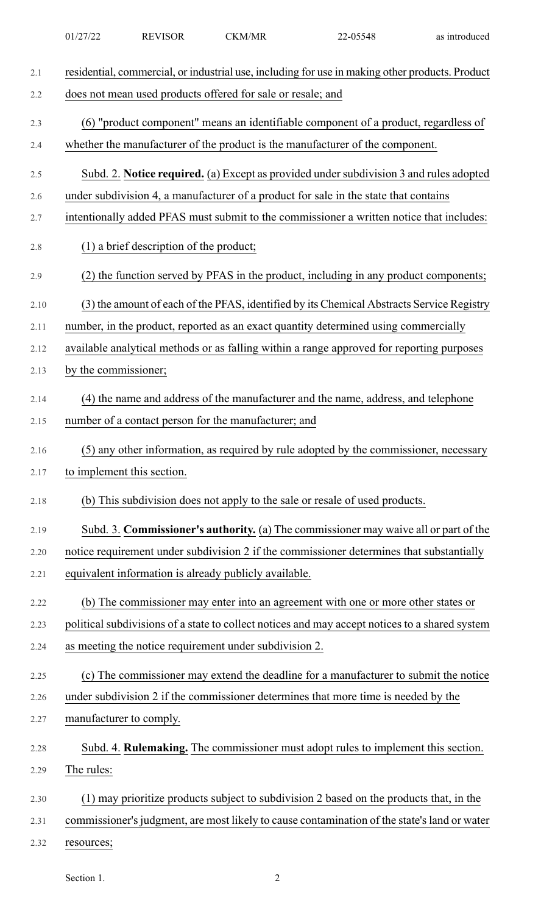| 2.1  | residential, commercial, or industrial use, including for use in making other products. Product |
|------|-------------------------------------------------------------------------------------------------|
| 2.2  | does not mean used products offered for sale or resale; and                                     |
| 2.3  | (6) "product component" means an identifiable component of a product, regardless of             |
| 2.4  | whether the manufacturer of the product is the manufacturer of the component.                   |
| 2.5  | Subd. 2. Notice required. (a) Except as provided under subdivision 3 and rules adopted          |
| 2.6  | under subdivision 4, a manufacturer of a product for sale in the state that contains            |
| 2.7  | intentionally added PFAS must submit to the commissioner a written notice that includes:        |
| 2.8  | $(1)$ a brief description of the product;                                                       |
| 2.9  | (2) the function served by PFAS in the product, including in any product components;            |
| 2.10 | (3) the amount of each of the PFAS, identified by its Chemical Abstracts Service Registry       |
| 2.11 | number, in the product, reported as an exact quantity determined using commercially             |
| 2.12 | available analytical methods or as falling within a range approved for reporting purposes       |
| 2.13 | by the commissioner;                                                                            |
| 2.14 | (4) the name and address of the manufacturer and the name, address, and telephone               |
| 2.15 | number of a contact person for the manufacturer; and                                            |
| 2.16 | (5) any other information, as required by rule adopted by the commissioner, necessary           |
| 2.17 | to implement this section.                                                                      |
| 2.18 | (b) This subdivision does not apply to the sale or resale of used products.                     |
| 2.19 | Subd. 3. Commissioner's authority. (a) The commissioner may waive all or part of the            |
| 2.20 | notice requirement under subdivision 2 if the commissioner determines that substantially        |
| 2.21 | equivalent information is already publicly available.                                           |
| 2.22 | (b) The commissioner may enter into an agreement with one or more other states or               |
| 2.23 | political subdivisions of a state to collect notices and may accept notices to a shared system  |
| 2.24 | as meeting the notice requirement under subdivision 2.                                          |
| 2.25 | (c) The commissioner may extend the deadline for a manufacturer to submit the notice            |
| 2.26 | under subdivision 2 if the commissioner determines that more time is needed by the              |
| 2.27 | manufacturer to comply.                                                                         |
| 2.28 | Subd. 4. Rulemaking. The commissioner must adopt rules to implement this section.               |
| 2.29 | The rules:                                                                                      |
| 2.30 | (1) may prioritize products subject to subdivision 2 based on the products that, in the         |
| 2.31 | commissioner's judgment, are most likely to cause contamination of the state's land or water    |
| 2.32 | resources;                                                                                      |
|      |                                                                                                 |

01/27/22 REVISOR CKM/MR 22-05548 as introduced

Section 1. 2